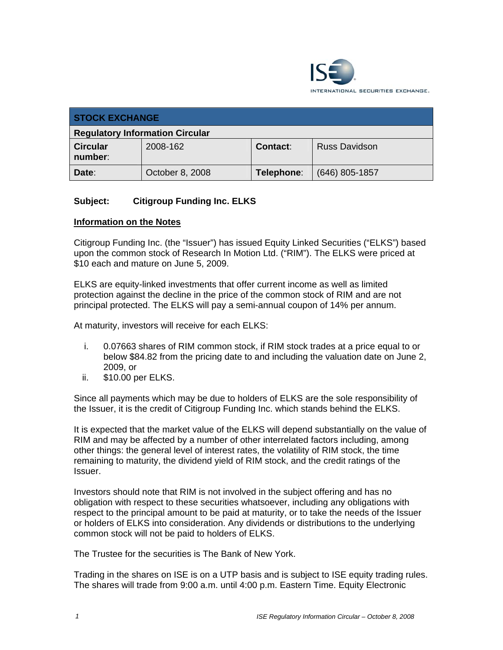

| <b>STOCK EXCHANGE</b>                  |                 |            |                      |
|----------------------------------------|-----------------|------------|----------------------|
| <b>Regulatory Information Circular</b> |                 |            |                      |
| <b>Circular</b><br>number:             | 2008-162        | Contact:   | <b>Russ Davidson</b> |
| Date:                                  | October 8, 2008 | Telephone: | $(646)$ 805-1857     |

### **Subject: Citigroup Funding Inc. ELKS**

#### **Information on the Notes**

Citigroup Funding Inc. (the "Issuer") has issued Equity Linked Securities ("ELKS") based upon the common stock of Research In Motion Ltd. ("RIM"). The ELKS were priced at \$10 each and mature on June 5, 2009.

ELKS are equity-linked investments that offer current income as well as limited protection against the decline in the price of the common stock of RIM and are not principal protected. The ELKS will pay a semi-annual coupon of 14% per annum.

At maturity, investors will receive for each ELKS:

- i. 0.07663 shares of RIM common stock, if RIM stock trades at a price equal to or below \$84.82 from the pricing date to and including the valuation date on June 2, 2009, or
- ii. \$10.00 per ELKS.

Since all payments which may be due to holders of ELKS are the sole responsibility of the Issuer, it is the credit of Citigroup Funding Inc. which stands behind the ELKS.

It is expected that the market value of the ELKS will depend substantially on the value of RIM and may be affected by a number of other interrelated factors including, among other things: the general level of interest rates, the volatility of RIM stock, the time remaining to maturity, the dividend yield of RIM stock, and the credit ratings of the Issuer.

Investors should note that RIM is not involved in the subject offering and has no obligation with respect to these securities whatsoever, including any obligations with respect to the principal amount to be paid at maturity, or to take the needs of the Issuer or holders of ELKS into consideration. Any dividends or distributions to the underlying common stock will not be paid to holders of ELKS.

The Trustee for the securities is The Bank of New York.

Trading in the shares on ISE is on a UTP basis and is subject to ISE equity trading rules. The shares will trade from 9:00 a.m. until 4:00 p.m. Eastern Time. Equity Electronic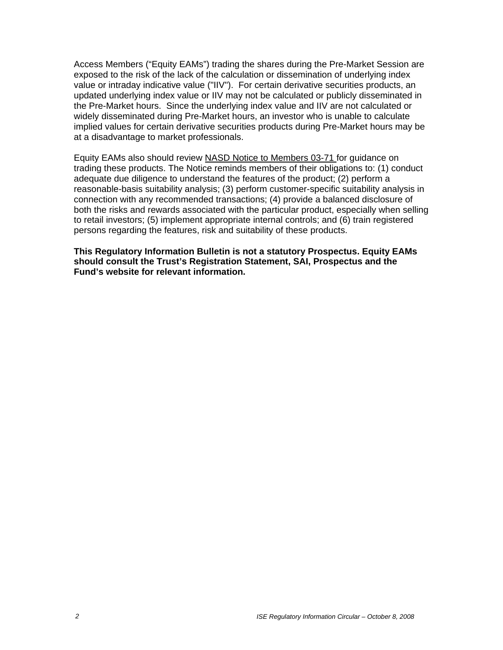Access Members ("Equity EAMs") trading the shares during the Pre-Market Session are exposed to the risk of the lack of the calculation or dissemination of underlying index value or intraday indicative value ("IIV"). For certain derivative securities products, an updated underlying index value or IIV may not be calculated or publicly disseminated in the Pre-Market hours. Since the underlying index value and IIV are not calculated or widely disseminated during Pre-Market hours, an investor who is unable to calculate implied values for certain derivative securities products during Pre-Market hours may be at a disadvantage to market professionals.

Equity EAMs also should review NASD Notice to Members 03-71 for guidance on trading these products. The Notice reminds members of their obligations to: (1) conduct adequate due diligence to understand the features of the product; (2) perform a reasonable-basis suitability analysis; (3) perform customer-specific suitability analysis in connection with any recommended transactions; (4) provide a balanced disclosure of both the risks and rewards associated with the particular product, especially when selling to retail investors; (5) implement appropriate internal controls; and (6) train registered persons regarding the features, risk and suitability of these products.

**This Regulatory Information Bulletin is not a statutory Prospectus. Equity EAMs should consult the Trust's Registration Statement, SAI, Prospectus and the Fund's website for relevant information.**